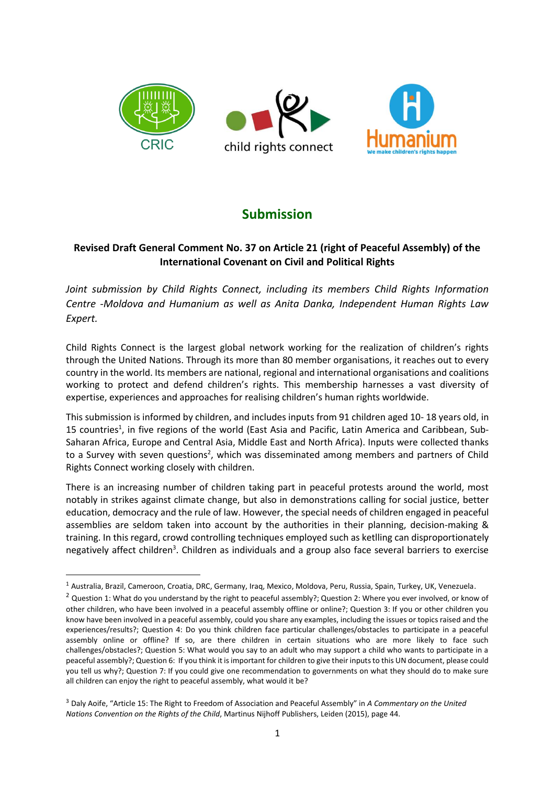

# **Submission**

# **Revised Draft General Comment No. 37 on Article 21 (right of Peaceful Assembly) of the International Covenant on Civil and Political Rights**

*Joint submission by Child Rights Connect, including its members Child Rights Information Centre -Moldova and Humanium as well as Anita Danka, Independent Human Rights Law Expert.*

Child Rights Connect is the largest global network working for the realization of children's rights through the United Nations. Through its more than 80 member organisations, it reaches out to every country in the world. Its members are national, regional and international organisations and coalitions working to protect and defend children's rights. This membership harnesses a vast diversity of expertise, experiences and approaches for realising children's human rights worldwide.

This submission is informed by children, and includes inputs from 91 children aged 10- 18 years old, in 15 countries<sup>1</sup>, in five regions of the world (East Asia and Pacific, Latin America and Caribbean, Sub-Saharan Africa, Europe and Central Asia, Middle East and North Africa). Inputs were collected thanks to a Survey with seven questions<sup>2</sup>, which was disseminated among members and partners of Child Rights Connect working closely with children.

There is an increasing number of children taking part in peaceful protests around the world, most notably in strikes against climate change, but also in demonstrations calling for social justice, better education, democracy and the rule of law. However, the special needs of children engaged in peaceful assemblies are seldom taken into account by the authorities in their planning, decision-making & training. In this regard, crowd controlling techniques employed such as ketlling can disproportionately negatively affect children<sup>3</sup>. Children as individuals and a group also face several barriers to exercise

<sup>1</sup> Australia, Brazil, Cameroon, Croatia, DRC, Germany, Iraq, Mexico, Moldova, Peru, Russia, Spain, Turkey, UK, Venezuela.

<sup>&</sup>lt;sup>2</sup> Question 1: What do you understand by the right to peaceful assembly?; Question 2: Where you ever involved, or know of other children, who have been involved in a peaceful assembly offline or online?; Question 3: If you or other children you know have been involved in a peaceful assembly, could you share any examples, including the issues or topics raised and the experiences/results?; Question 4: Do you think children face particular challenges/obstacles to participate in a peaceful assembly online or offline? If so, are there children in certain situations who are more likely to face such challenges/obstacles?; Question 5: What would you say to an adult who may support a child who wants to participate in a peaceful assembly?; Question 6: If you think it is important for children to give their inputs to this UN document, please could you tell us why?; Question 7: If you could give one recommendation to governments on what they should do to make sure all children can enjoy the right to peaceful assembly, what would it be?

<sup>3</sup> Daly Aoife, "Article 15: The Right to Freedom of Association and Peaceful Assembly" in *A Commentary on the United Nations Convention on the Rights of the Child*, Martinus Nijhoff Publishers, Leiden (2015), page 44.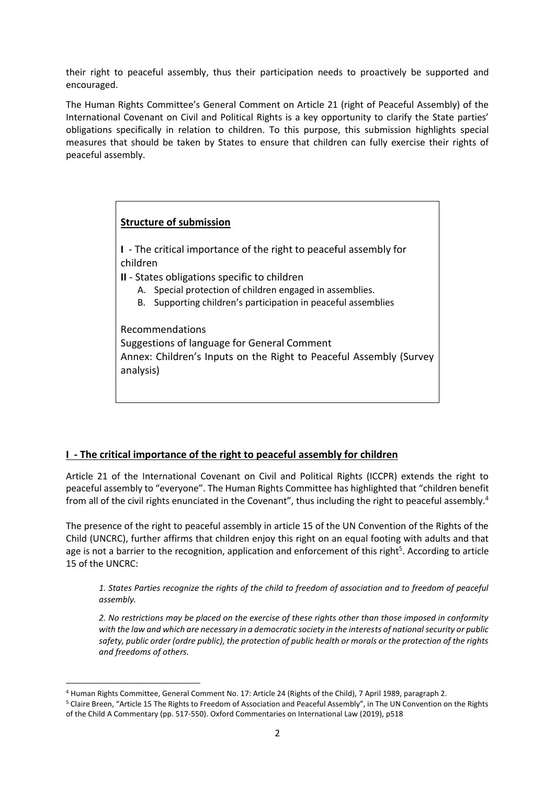their right to peaceful assembly, thus their participation needs to proactively be supported and encouraged.

The Human Rights Committee's General Comment on Article 21 (right of Peaceful Assembly) of the International Covenant on Civil and Political Rights is a key opportunity to clarify the State parties' obligations specifically in relation to children. To this purpose, this submission highlights special measures that should be taken by States to ensure that children can fully exercise their rights of peaceful assembly.

# **Structure of submission**

**I** - The critical importance of the right to peaceful assembly for children

**II** - States obligations specific to children

- A. Special protection of children engaged in assemblies.
- B. Supporting children's participation in peaceful assemblies

Recommendations Suggestions of language for General Comment Annex: Children's Inputs on the Right to Peaceful Assembly (Survey analysis)

# **I - The critical importance of the right to peaceful assembly for children**

Article 21 of the International Covenant on Civil and Political Rights (ICCPR) extends the right to peaceful assembly to "everyone". The Human Rights Committee has highlighted that "children benefit from all of the civil rights enunciated in the Covenant", thus including the right to peaceful assembly.<sup>4</sup>

The presence of the right to peaceful assembly in article 15 of the UN Convention of the Rights of the Child (UNCRC), further affirms that children enjoy this right on an equal footing with adults and that age is not a barrier to the recognition, application and enforcement of this right<sup>5</sup>. According to article 15 of the UNCRC:

*1. States Parties recognize the rights of the child to freedom of association and to freedom of peaceful assembly.*

*2. No restrictions may be placed on the exercise of these rights other than those imposed in conformity with the law and which are necessary in a democratic society in the interests of national security or public safety, public order (ordre public), the protection of public health or morals or the protection of the rights and freedoms of others.*

<sup>4</sup> Human Rights Committee, General Comment No. 17: Article 24 (Rights of the Child), 7 April 1989, paragraph 2.

<sup>5</sup> Claire Breen, "Article 15 The Rights to Freedom of Association and Peaceful Assembly", in The UN Convention on the Rights of the Child A Commentary (pp. 517-550). Oxford Commentaries on International Law (2019), p518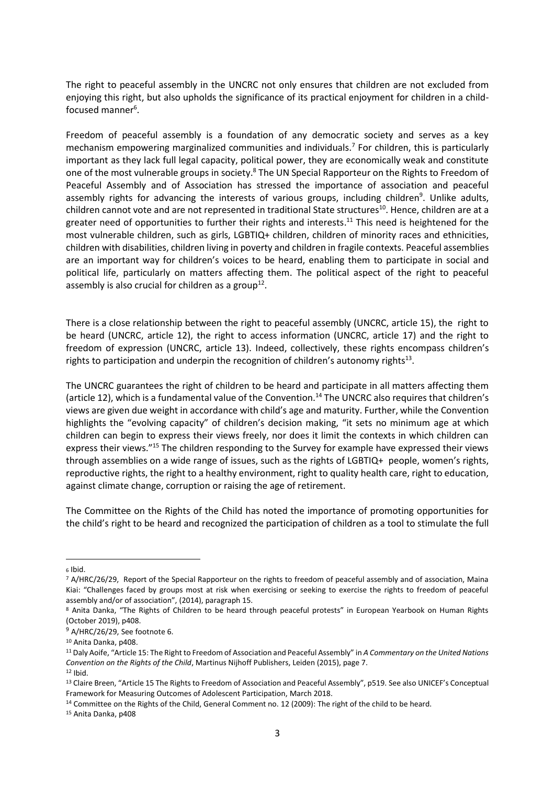The right to peaceful assembly in the UNCRC not only ensures that children are not excluded from enjoying this right, but also upholds the significance of its practical enjoyment for children in a childfocused manner<sup>6</sup>.

Freedom of peaceful assembly is a foundation of any democratic society and serves as a key mechanism empowering marginalized communities and individuals.<sup>7</sup> For children, this is particularly important as they lack full legal capacity, political power, they are economically weak and constitute one of the most vulnerable groups in society.<sup>8</sup> The UN Special Rapporteur on the Rights to Freedom of Peaceful Assembly and of Association has stressed the importance of association and peaceful assembly rights for advancing the interests of various groups, including children<sup>9</sup>. Unlike adults, children cannot vote and are not represented in traditional State structures<sup>10</sup>. Hence, children are at a greater need of opportunities to further their rights and interests.<sup>11</sup> This need is heightened for the most vulnerable children, such as girls, LGBTIQ+ children, children of minority races and ethnicities, children with disabilities, children living in poverty and children in fragile contexts. Peaceful assemblies are an important way for children's voices to be heard, enabling them to participate in social and political life, particularly on matters affecting them. The political aspect of the right to peaceful assembly is also crucial for children as a group<sup>12</sup>.

There is a close relationship between the right to peaceful assembly (UNCRC, article 15), the right to be heard (UNCRC, article 12), the right to access information (UNCRC, article 17) and the right to freedom of expression (UNCRC, article 13). Indeed, collectively, these rights encompass children's rights to participation and underpin the recognition of children's autonomy rights<sup>13</sup>.

The UNCRC guarantees the right of children to be heard and participate in all matters affecting them (article 12), which is a fundamental value of the Convention.<sup>14</sup> The UNCRC also requires that children's views are given due weight in accordance with child's age and maturity. Further, while the Convention highlights the "evolving capacity" of children's decision making, "it sets no minimum age at which children can begin to express their views freely, nor does it limit the contexts in which children can express their views."<sup>15</sup> The children responding to the Survey for example have expressed their views through assemblies on a wide range of issues, such as the rights of LGBTIQ+ people, women's rights, reproductive rights, the right to a healthy environment, right to quality health care, right to education, against climate change, corruption or raising the age of retirement.

The Committee on the Rights of the Child has noted the importance of promoting opportunities for the child's right to be heard and recognized the participation of children as a tool to stimulate the full

<sup>15</sup> Anita Danka, p408

<sup>6</sup> Ibid.

<sup>7</sup> A/HRC/26/29, Report of the Special Rapporteur on the rights to freedom of peaceful assembly and of association, Maina Kiai: "Challenges faced by groups most at risk when exercising or seeking to exercise the rights to freedom of peaceful assembly and/or of association", (2014), paragraph 15.

<sup>8</sup> Anita Danka, "The Rights of Children to be heard through peaceful protests" in European Yearbook on Human Rights (October 2019), p408.

 $9$  A/HRC/26/29, See footnote 6.

<sup>10</sup> Anita Danka, p408.

<sup>11</sup> Daly Aoife, "Article 15: The Right to Freedom of Association and Peaceful Assembly" in *A Commentary on the United Nations Convention on the Rights of the Child*, Martinus Nijhoff Publishers, Leiden (2015), page 7.  $12$  Ibid.

<sup>&</sup>lt;sup>13</sup> Claire Breen, "Article 15 The Rights to Freedom of Association and Peaceful Assembly", p519. See also UNICEF's Conceptual Framework for Measuring Outcomes of Adolescent Participation, March 2018.

<sup>&</sup>lt;sup>14</sup> Committee on the Rights of the Child, General Comment no. 12 (2009): The right of the child to be heard.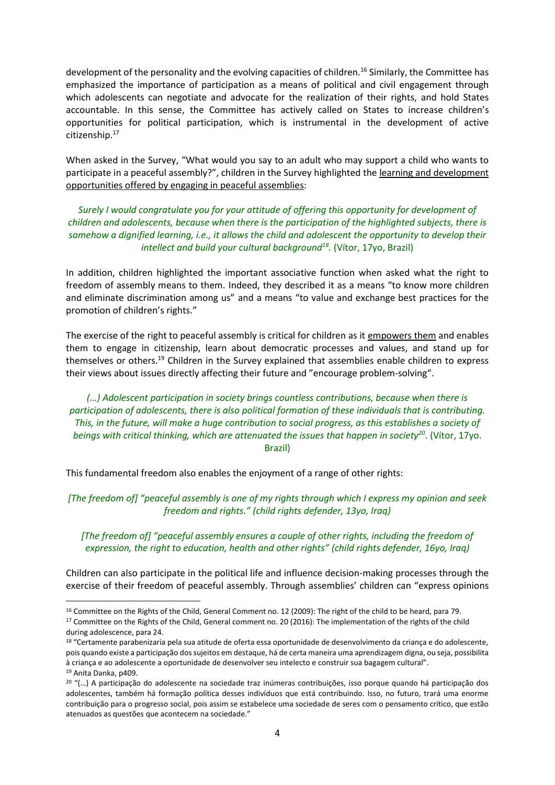development of the personality and the evolving capacities of children.<sup>16</sup> Similarly, the Committee has emphasized the importance of participation as a means of political and civil engagement through which adolescents can negotiate and advocate for the realization of their rights, and hold States accountable. In this sense, the Committee has actively called on States to increase children's opportunities for political participation, which is instrumental in the development of active citizenship. 17

When asked in the Survey, "What would you say to an adult who may support a child who wants to participate in a peaceful assembly?", children in the Survey highlighted the learning and development opportunities offered by engaging in peaceful assemblies:

*Surely I would congratulate you for your attitude of offering this opportunity for development of children and adolescents, because when there is the participation of the highlighted subjects, there is somehow a dignified learning, i.e., it allows the child and adolescent the opportunity to develop their intellect and build your cultural background<sup>18</sup> .* (Vítor, 17yo, Brazil)

In addition, children highlighted the important associative function when asked what the right to freedom of assembly means to them. Indeed, they described it as a means "to know more children and eliminate discrimination among us" and a means "to value and exchange best practices for the promotion of children's rights."

The exercise of the right to peaceful assembly is critical for children as it empowers them and enables them to engage in citizenship, learn about democratic processes and values, and stand up for themselves or others.<sup>19</sup> Children in the Survey explained that assemblies enable children to express their views about issues directly affecting their future and "encourage problem-solving".

*(…) Adolescent participation in society brings countless contributions, because when there is participation of adolescents, there is also political formation of these individuals that is contributing. This, in the future, will make a huge contribution to social progress, as this establishes a society of beings with critical thinking, which are attenuated the issues that happen in society<sup>20</sup>* . (Vítor, 17yo. Brazil)

This fundamental freedom also enables the enjoyment of a range of other rights:

*[The freedom of] "peaceful assembly is one of my rights through which I express my opinion and seek freedom and rights." (child rights defender, 13yo, Iraq)*

*[The freedom of] "peaceful assembly ensures a couple of other rights, including the freedom of expression, the right to education, health and other rights" (child rights defender, 16yo, Iraq)*

Children can also participate in the political life and influence decision-making processes through the exercise of their freedom of peaceful assembly. Through assemblies' children can "express opinions

<sup>&</sup>lt;sup>16</sup> Committee on the Rights of the Child, General Comment no. 12 (2009): The right of the child to be heard, para 79. <sup>17</sup> Committee on the Rights of the Child, General comment no. 20 (2016): The implementation of the rights of the child during adolescence, para 24.

<sup>18</sup> "Certamente parabenizaria pela sua atitude de oferta essa oportunidade de desenvolvimento da criança e do adolescente, pois quando existe a participação dos sujeitos em destaque, há de certa maneira uma aprendizagem digna, ou seja, possibilita à criança e ao adolescente a oportunidade de desenvolver seu intelecto e construir sua bagagem cultural". <sup>19</sup> Anita Danka, p409.

<sup>&</sup>lt;sup>20</sup> "(...) A participação do adolescente na sociedade traz inúmeras contribuições, isso porque quando há participação dos adolescentes, também há formação política desses indivíduos que está contribuindo. Isso, no futuro, trará uma enorme contribuição para o progresso social, pois assim se estabelece uma sociedade de seres com o pensamento crítico, que estão atenuados as questões que acontecem na sociedade."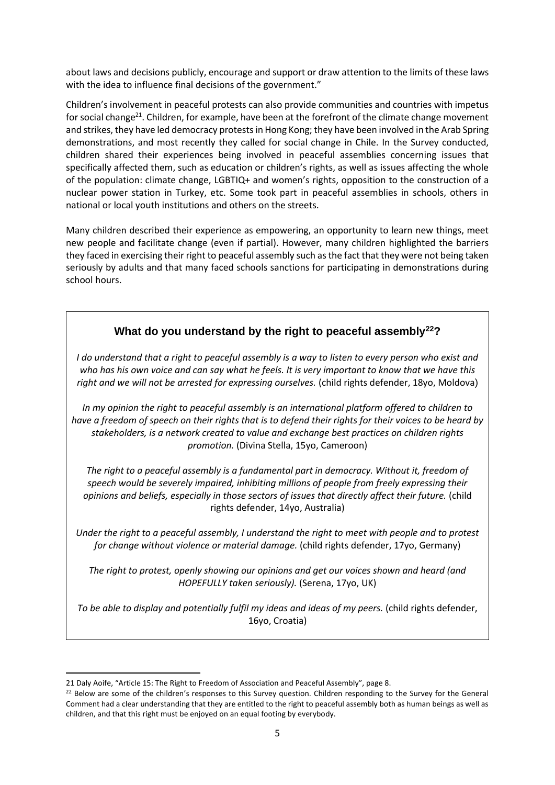about laws and decisions publicly, encourage and support or draw attention to the limits of these laws with the idea to influence final decisions of the government."

Children's involvement in peaceful protests can also provide communities and countries with impetus for social change<sup>21</sup>. Children, for example, have been at the forefront of the climate change movement and strikes, they have led democracy protests in Hong Kong; they have been involved in the Arab Spring demonstrations, and most recently they called for social change in Chile. In the Survey conducted, children shared their experiences being involved in peaceful assemblies concerning issues that specifically affected them, such as education or children's rights, as well as issues affecting the whole of the population: climate change, LGBTIQ+ and women's rights, opposition to the construction of a nuclear power station in Turkey, etc. Some took part in peaceful assemblies in schools, others in national or local youth institutions and others on the streets.

Many children described their experience as empowering, an opportunity to learn new things, meet new people and facilitate change (even if partial). However, many children highlighted the barriers they faced in exercising their right to peaceful assembly such as the fact that they were not being taken seriously by adults and that many faced schools sanctions for participating in demonstrations during school hours.

# **What do you understand by the right to peaceful assembly<sup>22</sup>?**

*I do understand that a right to peaceful assembly is a way to listen to every person who exist and who has his own voice and can say what he feels. It is very important to know that we have this right and we will not be arrested for expressing ourselves.* (child rights defender, 18yo, Moldova)

*In my opinion the right to peaceful assembly is an international platform offered to children to have a freedom of speech on their rights that is to defend their rights for their voices to be heard by stakeholders, is a network created to value and exchange best practices on children rights promotion.* (Divina Stella, 15yo, Cameroon)

*The right to a peaceful assembly is a fundamental part in democracy. Without it, freedom of speech would be severely impaired, inhibiting millions of people from freely expressing their opinions and beliefs, especially in those sectors of issues that directly affect their future.* (child rights defender, 14yo, Australia)

*Under the right to a peaceful assembly, I understand the right to meet with people and to protest for change without violence or material damage.* (child rights defender, 17yo, Germany)

*The right to protest, openly showing our opinions and get our voices shown and heard (and HOPEFULLY taken seriously).* (Serena, 17yo, UK)

To be able to display and potentially fulfil my ideas and ideas of my peers. (child rights defender, 16yo, Croatia)

<sup>21</sup> Daly Aoife, "Article 15: The Right to Freedom of Association and Peaceful Assembly", page 8.

<sup>&</sup>lt;sup>22</sup> Below are some of the children's responses to this Survey question. Children responding to the Survey for the General Comment had a clear understanding that they are entitled to the right to peaceful assembly both as human beings as well as children, and that this right must be enjoyed on an equal footing by everybody.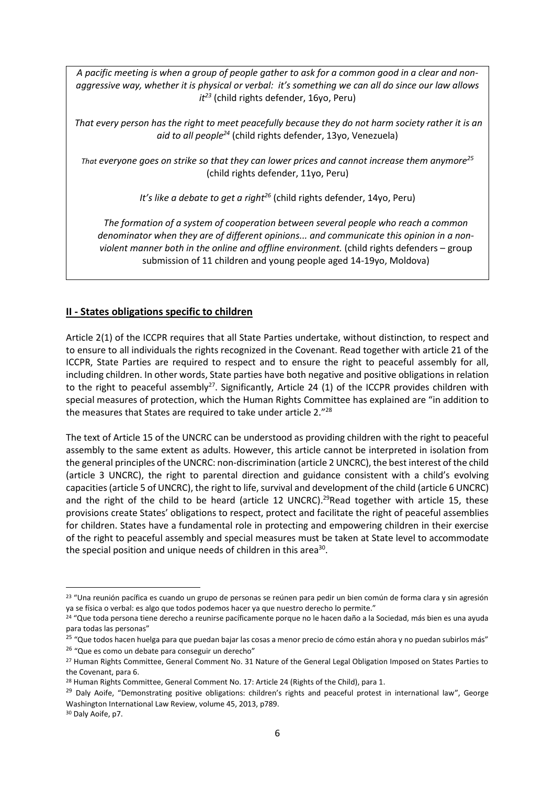*A pacific meeting is when a group of people gather to ask for a common good in a clear and nonaggressive way, whether it is physical or verbal: it's something we can all do since our law allows it<sup>23</sup>* (child rights defender, 16yo, Peru)

*That every person has the right to meet peacefully because they do not harm society rather it is an aid to all people<sup>24</sup>* (child rights defender, 13yo, Venezuela)

*That everyone goes on strike so that they can lower prices and cannot increase them anymore<sup>25</sup>* (child rights defender, 11yo, Peru)

*It's like a debate to get a right<sup>26</sup>* (child rights defender, 14yo, Peru)

*The formation of a system of cooperation between several people who reach a common denominator when they are of different opinions... and communicate this opinion in a nonviolent manner both in the online and offline environment.* (child rights defenders – group submission of 11 children and young people aged 14-19yo, Moldova)

## **II - States obligations specific to children**

Article 2(1) of the ICCPR requires that all State Parties undertake, without distinction, to respect and to ensure to all individuals the rights recognized in the Covenant. Read together with article 21 of the ICCPR, State Parties are required to respect and to ensure the right to peaceful assembly for all, including children. In other words, State parties have both negative and positive obligations in relation to the right to peaceful assembly<sup>27</sup>. Significantly, Article 24 (1) of the ICCPR provides children with special measures of protection, which the Human Rights Committee has explained are "in addition to the measures that States are required to take under article 2."28

The text of Article 15 of the UNCRC can be understood as providing children with the right to peaceful assembly to the same extent as adults. However, this article cannot be interpreted in isolation from the general principles of the UNCRC: non-discrimination (article 2 UNCRC), the best interest of the child (article 3 UNCRC), the right to parental direction and guidance consistent with a child's evolving capacities (article 5 of UNCRC), the right to life, survival and development of the child (article 6 UNCRC) and the right of the child to be heard (article 12 UNCRC).<sup>29</sup>Read together with article 15, these provisions create States' obligations to respect, protect and facilitate the right of peaceful assemblies for children. States have a fundamental role in protecting and empowering children in their exercise of the right to peaceful assembly and special measures must be taken at State level to accommodate the special position and unique needs of children in this area<sup>30</sup>.

<sup>&</sup>lt;sup>23</sup> "Una reunión pacífica es cuando un grupo de personas se reúnen para pedir un bien común de forma clara y sin agresión ya se física o verbal: es algo que todos podemos hacer ya que nuestro derecho lo permite."

<sup>&</sup>lt;sup>24</sup> "Que toda persona tiene derecho a reunirse pacíficamente porque no le hacen daño a la Sociedad, más bien es una ayuda para todas las personas"

<sup>&</sup>lt;sup>25</sup> "Que todos hacen huelga para que puedan bajar las cosas a menor precio de cómo están ahora y no puedan subirlos más" <sup>26</sup> "Que es como un debate para conseguir un derecho"

<sup>&</sup>lt;sup>27</sup> Human Rights Committee, General Comment No. 31 Nature of the General Legal Obligation Imposed on States Parties to the Covenant, para 6.

<sup>&</sup>lt;sup>28</sup> Human Rights Committee, General Comment No. 17: Article 24 (Rights of the Child), para 1.

<sup>&</sup>lt;sup>29</sup> Daly Aoife, "Demonstrating positive obligations: children's rights and peaceful protest in international law", George Washington International Law Review, volume 45, 2013, p789.

<sup>30</sup> Daly Aoife, p7.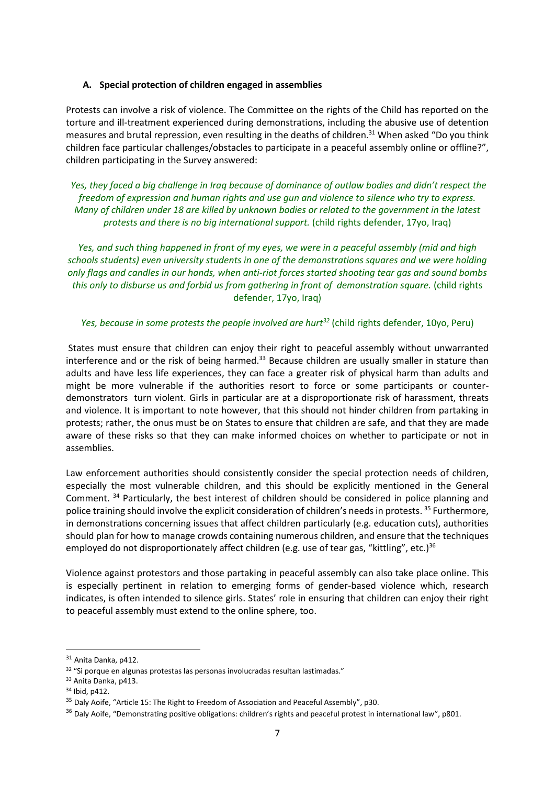#### **A. Special protection of children engaged in assemblies**

Protests can involve a risk of violence. The Committee on the rights of the Child has reported on the torture and ill-treatment experienced during demonstrations, including the abusive use of detention measures and brutal repression, even resulting in the deaths of children.<sup>31</sup> When asked "Do you think children face particular challenges/obstacles to participate in a peaceful assembly online or offline?", children participating in the Survey answered:

*Yes, they faced a big challenge in Iraq because of dominance of outlaw bodies and didn't respect the freedom of expression and human rights and use gun and violence to silence who try to express. Many of children under 18 are killed by unknown bodies or related to the government in the latest protests and there is no big international support.* (child rights defender, 17yo, Iraq)

*Yes, and such thing happened in front of my eyes, we were in a peaceful assembly (mid and high schools students) even university students in one of the demonstrations squares and we were holding only flags and candles in our hands, when anti-riot forces started shooting tear gas and sound bombs this only to disburse us and forbid us from gathering in front of demonstration square.* (child rights defender, 17yo, Iraq)

*Yes, because in some protests the people involved are hurt<sup>32</sup>* (child rights defender, 10yo, Peru)

States must ensure that children can enjoy their right to peaceful assembly without unwarranted interference and or the risk of being harmed. $33$  Because children are usually smaller in stature than adults and have less life experiences, they can face a greater risk of physical harm than adults and might be more vulnerable if the authorities resort to force or some participants or counterdemonstrators turn violent. Girls in particular are at a disproportionate risk of harassment, threats and violence. It is important to note however, that this should not hinder children from partaking in protests; rather, the onus must be on States to ensure that children are safe, and that they are made aware of these risks so that they can make informed choices on whether to participate or not in assemblies.

Law enforcement authorities should consistently consider the special protection needs of children, especially the most vulnerable children, and this should be explicitly mentioned in the General Comment.<sup>34</sup> Particularly, the best interest of children should be considered in police planning and police training should involve the explicit consideration of children's needs in protests.<sup>35</sup> Furthermore, in demonstrations concerning issues that affect children particularly (e.g. education cuts), authorities should plan for how to manage crowds containing numerous children, and ensure that the techniques employed do not disproportionately affect children (e.g. use of tear gas, "kittling", etc.)<sup>36</sup>

Violence against protestors and those partaking in peaceful assembly can also take place online. This is especially pertinent in relation to emerging forms of gender-based violence which, research indicates, is often intended to silence girls. States' role in ensuring that children can enjoy their right to peaceful assembly must extend to the online sphere, too.

<sup>31</sup> Anita Danka, p412.

<sup>32</sup> "Si porque en algunas protestas las personas involucradas resultan lastimadas."

<sup>33</sup> Anita Danka, p413.

<sup>34</sup> Ibid, p412.

<sup>&</sup>lt;sup>35</sup> Daly Aoife, "Article 15: The Right to Freedom of Association and Peaceful Assembly", p30.

<sup>&</sup>lt;sup>36</sup> Daly Aoife, "Demonstrating positive obligations: children's rights and peaceful protest in international law", p801.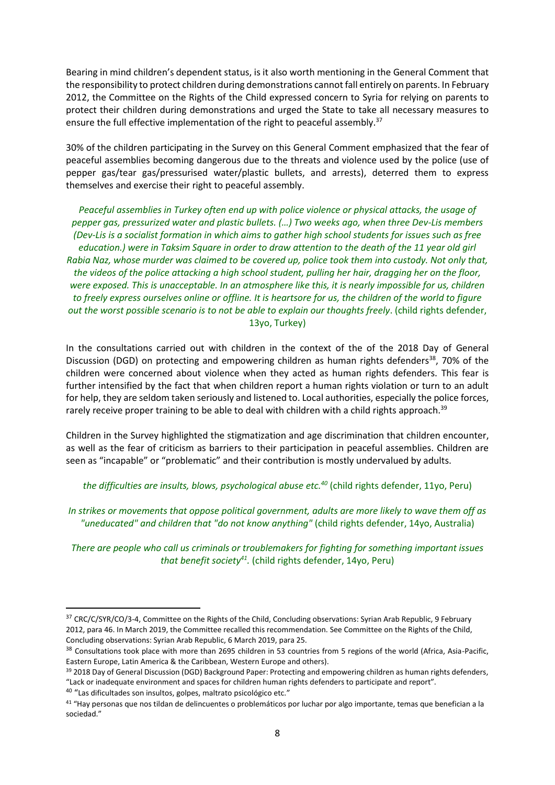Bearing in mind children's dependent status, is it also worth mentioning in the General Comment that the responsibility to protect children during demonstrations cannot fall entirely on parents. In February 2012, the Committee on the Rights of the Child expressed concern to Syria for relying on parents to protect their children during demonstrations and urged the State to take all necessary measures to ensure the full effective implementation of the right to peaceful assembly.<sup>37</sup>

30% of the children participating in the Survey on this General Comment emphasized that the fear of peaceful assemblies becoming dangerous due to the threats and violence used by the police (use of pepper gas/tear gas/pressurised water/plastic bullets, and arrests), deterred them to express themselves and exercise their right to peaceful assembly.

*Peaceful assemblies in Turkey often end up with police violence or physical attacks, the usage of pepper gas, pressurized water and plastic bullets. (…) Two weeks ago, when three Dev-Lis members (Dev-Lis is a socialist formation in which aims to gather high school students for issues such as free education.) were in Taksim Square in order to draw attention to the death of the 11 year old girl Rabia Naz, whose murder was claimed to be covered up, police took them into custody. Not only that, the videos of the police attacking a high school student, pulling her hair, dragging her on the floor, were exposed. This is unacceptable. In an atmosphere like this, it is nearly impossible for us, children to freely express ourselves online or offline. It is heartsore for us, the children of the world to figure out the worst possible scenario is to not be able to explain our thoughts freely*. (child rights defender, 13yo, Turkey)

In the consultations carried out with children in the context of the of the 2018 Day of General Discussion (DGD) on protecting and empowering children as human rights defenders<sup>38</sup>, 70% of the children were concerned about violence when they acted as human rights defenders. This fear is further intensified by the fact that when children report a human rights violation or turn to an adult for help, they are seldom taken seriously and listened to. Local authorities, especially the police forces, rarely receive proper training to be able to deal with children with a child rights approach.<sup>39</sup>

Children in the Survey highlighted the stigmatization and age discrimination that children encounter, as well as the fear of criticism as barriers to their participation in peaceful assemblies. Children are seen as "incapable" or "problematic" and their contribution is mostly undervalued by adults.

*the difficulties are insults, blows, psychological abuse etc.<sup>40</sup>* (child rights defender, 11yo, Peru)

*In strikes or movements that oppose political government, adults are more likely to wave them off as "uneducated" and children that "do not know anything"* (child rights defender, 14yo, Australia)

*There are people who call us criminals or troublemakers for fighting for something important issues that benefit society<sup>41</sup> .* (child rights defender, 14yo, Peru)

<sup>37</sup> CRC/C/SYR/CO/3-4, Committee on the Rights of the Child, Concluding observations: Syrian Arab Republic, 9 February 2012, para 46. In March 2019, the Committee recalled this recommendation. See Committee on the Rights of the Child, Concluding observations: Syrian Arab Republic, 6 March 2019, para 25.

<sup>&</sup>lt;sup>38</sup> Consultations took place with more than 2695 children in 53 countries from 5 regions of the world (Africa, Asia-Pacific, Eastern Europe, Latin America & the Caribbean, Western Europe and others).

<sup>39 2018</sup> Day of General Discussion (DGD) Background Paper: Protecting and empowering children as human rights defenders, "Lack or inadequate environment and spaces for children human rights defenders to participate and report".

<sup>&</sup>lt;sup>40</sup> "Las dificultades son insultos, golpes, maltrato psicológico etc."

<sup>&</sup>lt;sup>41</sup> "Hay personas que nos tildan de delincuentes o problemáticos por luchar por algo importante, temas que benefician a la sociedad."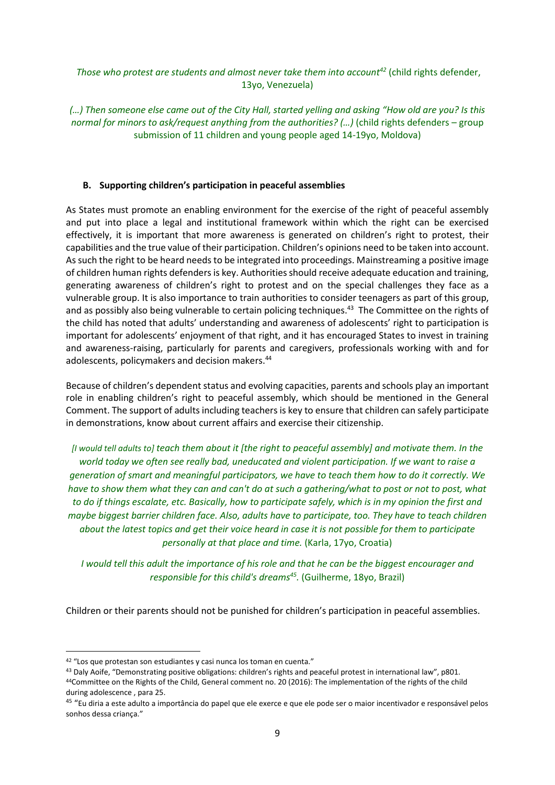### *Those who protest are students and almost never take them into account<sup>42</sup>* (child rights defender, 13yo, Venezuela)

*(…) Then someone else came out of the City Hall, started yelling and asking "How old are you? Is this normal for minors to ask/request anything from the authorities? (…)* (child rights defenders – group submission of 11 children and young people aged 14-19yo, Moldova)

#### **B. Supporting children's participation in peaceful assemblies**

As States must promote an enabling environment for the exercise of the right of peaceful assembly and put into place a legal and institutional framework within which the right can be exercised effectively, it is important that more awareness is generated on children's right to protest, their capabilities and the true value of their participation. Children's opinions need to be taken into account. As such the right to be heard needs to be integrated into proceedings. Mainstreaming a positive image of children human rights defenders is key. Authorities should receive adequate education and training, generating awareness of children's right to protest and on the special challenges they face as a vulnerable group. It is also importance to train authorities to consider teenagers as part of this group, and as possibly also being vulnerable to certain policing techniques.<sup>43</sup> The Committee on the rights of the child has noted that adults' understanding and awareness of adolescents' right to participation is important for adolescents' enjoyment of that right, and it has encouraged States to invest in training and awareness-raising, particularly for parents and caregivers, professionals working with and for adolescents, policymakers and decision makers.<sup>44</sup>

Because of children's dependent status and evolving capacities, parents and schools play an important role in enabling children's right to peaceful assembly, which should be mentioned in the General Comment. The support of adults including teachers is key to ensure that children can safely participate in demonstrations, know about current affairs and exercise their citizenship.

*[I would tell adults to] teach them about it [the right to peaceful assembly] and motivate them. In the world today we often see really bad, uneducated and violent participation. If we want to raise a generation of smart and meaningful participators, we have to teach them how to do it correctly. We have to show them what they can and can't do at such a gathering/what to post or not to post, what to do if things escalate, etc. Basically, how to participate safely, which is in my opinion the first and maybe biggest barrier children face. Also, adults have to participate, too. They have to teach children about the latest topics and get their voice heard in case it is not possible for them to participate personally at that place and time.* (Karla, 17yo, Croatia)

*I would tell this adult the importance of his role and that he can be the biggest encourager and responsible for this child's dreams<sup>45</sup> .* (Guilherme, 18yo, Brazil)

Children or their parents should not be punished for children's participation in peaceful assemblies.

<sup>42</sup> "Los que protestan son estudiantes y casi nunca los toman en cuenta."

<sup>43</sup> Daly Aoife, "Demonstrating positive obligations: children's rights and peaceful protest in international law", p801. <sup>44</sup>Committee on the Rights of the Child, General comment no. 20 (2016): The implementation of the rights of the child during adolescence , para 25.

<sup>&</sup>lt;sup>45</sup> "Eu diria a este adulto a importância do papel que ele exerce e que ele pode ser o maior incentivador e responsável pelos sonhos dessa criança."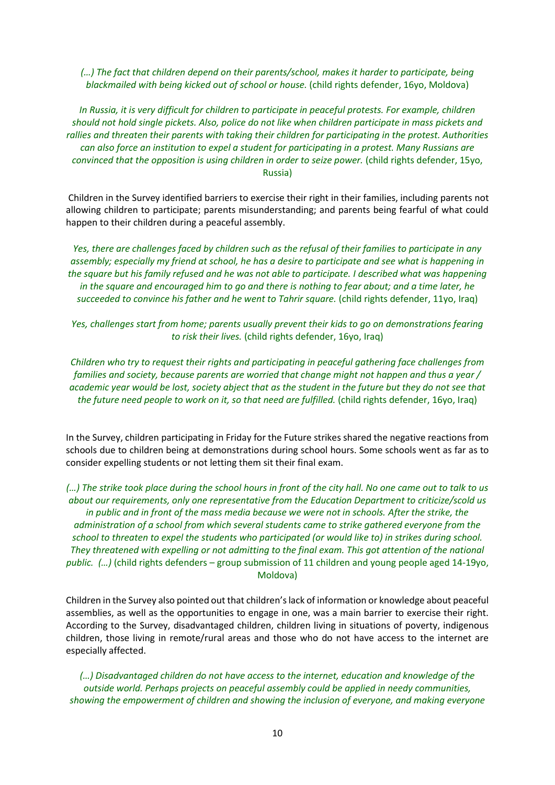*(…) The fact that children depend on their parents/school, makes it harder to participate, being blackmailed with being kicked out of school or house.* (child rights defender, 16yo, Moldova)

*In Russia, it is very difficult for children to participate in peaceful protests. For example, children should not hold single pickets. Also, police do not like when children participate in mass pickets and rallies and threaten their parents with taking their children for participating in the protest. Authorities can also force an institution to expel a student for participating in a protest. Many Russians are convinced that the opposition is using children in order to seize power.* (child rights defender, 15yo, Russia)

Children in the Survey identified barriers to exercise their right in their families, including parents not allowing children to participate; parents misunderstanding; and parents being fearful of what could happen to their children during a peaceful assembly.

*Yes, there are challenges faced by children such as the refusal of their families to participate in any assembly; especially my friend at school, he has a desire to participate and see what is happening in the square but his family refused and he was not able to participate. I described what was happening in the square and encouraged him to go and there is nothing to fear about; and a time later, he succeeded to convince his father and he went to Tahrir square.* (child rights defender, 11yo, Iraq)

*Yes, challenges start from home; parents usually prevent their kids to go on demonstrations fearing to risk their lives.* (child rights defender, 16yo, Iraq)

*Children who try to request their rights and participating in peaceful gathering face challenges from families and society, because parents are worried that change might not happen and thus a year / academic year would be lost, society abject that as the student in the future but they do not see that the future need people to work on it, so that need are fulfilled.* (child rights defender, 16yo, Iraq)

In the Survey, children participating in Friday for the Future strikes shared the negative reactions from schools due to children being at demonstrations during school hours. Some schools went as far as to consider expelling students or not letting them sit their final exam.

*(…) The strike took place during the school hours in front of the city hall. No one came out to talk to us about our requirements, only one representative from the Education Department to criticize/scold us in public and in front of the mass media because we were not in schools. After the strike, the administration of a school from which several students came to strike gathered everyone from the school to threaten to expel the students who participated (or would like to) in strikes during school. They threatened with expelling or not admitting to the final exam. This got attention of the national public. (…)* (child rights defenders – group submission of 11 children and young people aged 14-19yo, Moldova)

Children in the Survey also pointed out that children's lack of information or knowledge about peaceful assemblies, as well as the opportunities to engage in one, was a main barrier to exercise their right. According to the Survey, disadvantaged children, children living in situations of poverty, indigenous children, those living in remote/rural areas and those who do not have access to the internet are especially affected.

*(…) Disadvantaged children do not have access to the internet, education and knowledge of the outside world. Perhaps projects on peaceful assembly could be applied in needy communities, showing the empowerment of children and showing the inclusion of everyone, and making everyone*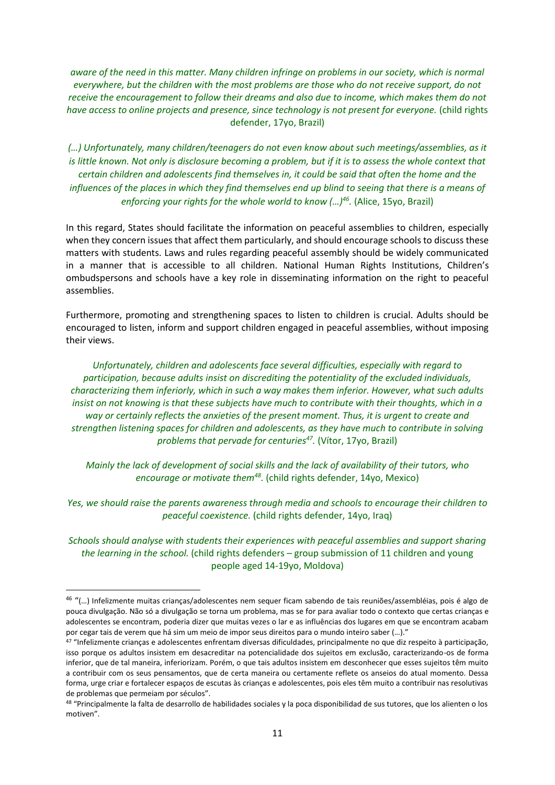*aware of the need in this matter. Many children infringe on problems in our society, which is normal everywhere, but the children with the most problems are those who do not receive support, do not receive the encouragement to follow their dreams and also due to income, which makes them do not have access to online projects and presence, since technology is not present for everyone.* (child rights defender, 17yo, Brazil)

*(…) Unfortunately, many children/teenagers do not even know about such meetings/assemblies, as it is little known. Not only is disclosure becoming a problem, but if it is to assess the whole context that certain children and adolescents find themselves in, it could be said that often the home and the influences of the places in which they find themselves end up blind to seeing that there is a means of enforcing your rights for the whole world to know (…)<sup>46</sup> .* (Alice, 15yo, Brazil)

In this regard, States should facilitate the information on peaceful assemblies to children, especially when they concern issues that affect them particularly, and should encourage schools to discuss these matters with students. Laws and rules regarding peaceful assembly should be widely communicated in a manner that is accessible to all children. National Human Rights Institutions, Children's ombudspersons and schools have a key role in disseminating information on the right to peaceful assemblies.

Furthermore, promoting and strengthening spaces to listen to children is crucial. Adults should be encouraged to listen, inform and support children engaged in peaceful assemblies, without imposing their views.

*Unfortunately, children and adolescents face several difficulties, especially with regard to participation, because adults insist on discrediting the potentiality of the excluded individuals, characterizing them inferiorly, which in such a way makes them inferior. However, what such adults insist on not knowing is that these subjects have much to contribute with their thoughts, which in a way or certainly reflects the anxieties of the present moment. Thus, it is urgent to create and strengthen listening spaces for children and adolescents, as they have much to contribute in solving problems that pervade for centuries<sup>47</sup> .* (Vítor, 17yo, Brazil)

*Mainly the lack of development of social skills and the lack of availability of their tutors, who encourage or motivate them<sup>48</sup> .* (child rights defender, 14yo, Mexico)

*Yes, we should raise the parents awareness through media and schools to encourage their children to peaceful coexistence.* (child rights defender, 14yo, Iraq)

*Schools should analyse with students their experiences with peaceful assemblies and support sharing the learning in the school.* (child rights defenders – group submission of 11 children and young people aged 14-19yo, Moldova)

<sup>&</sup>lt;sup>46</sup> "(...) Infelizmente muitas crianças/adolescentes nem sequer ficam sabendo de tais reuniões/assembléias, pois é algo de pouca divulgação. Não só a divulgação se torna um problema, mas se for para avaliar todo o contexto que certas crianças e adolescentes se encontram, poderia dizer que muitas vezes o lar e as influências dos lugares em que se encontram acabam por cegar tais de verem que há sim um meio de impor seus direitos para o mundo inteiro saber (…)."

<sup>47</sup> "Infelizmente crianças e adolescentes enfrentam diversas dificuldades, principalmente no que diz respeito à participação, isso porque os adultos insistem em desacreditar na potencialidade dos sujeitos em exclusão, caracterizando-os de forma inferior, que de tal maneira, inferiorizam. Porém, o que tais adultos insistem em desconhecer que esses sujeitos têm muito a contribuir com os seus pensamentos, que de certa maneira ou certamente reflete os anseios do atual momento. Dessa forma, urge criar e fortalecer espaços de escutas às crianças e adolescentes, pois eles têm muito a contribuir nas resolutivas de problemas que permeiam por séculos".

<sup>48 &</sup>quot;Principalmente la falta de desarrollo de habilidades sociales y la poca disponibilidad de sus tutores, que los alienten o los motiven".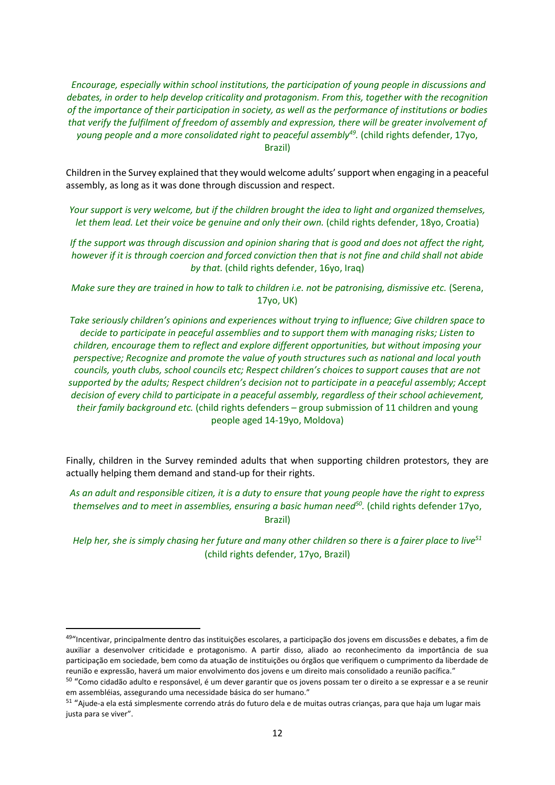*Encourage, especially within school institutions, the participation of young people in discussions and debates, in order to help develop criticality and protagonism. From this, together with the recognition of the importance of their participation in society, as well as the performance of institutions or bodies that verify the fulfilment of freedom of assembly and expression, there will be greater involvement of young people and a more consolidated right to peaceful assembly<sup>49</sup> .* (child rights defender, 17yo, Brazil)

Children in the Survey explained that they would welcome adults' support when engaging in a peaceful assembly, as long as it was done through discussion and respect.

*Your support is very welcome, but if the children brought the idea to light and organized themselves, let them lead. Let their voice be genuine and only their own.* (child rights defender, 18yo, Croatia)

*If the support was through discussion and opinion sharing that is good and does not affect the right, however if it is through coercion and forced conviction then that is not fine and child shall not abide by that.* (child rights defender, 16yo, Iraq)

*Make sure they are trained in how to talk to children i.e. not be patronising, dismissive etc.* (Serena, 17yo, UK)

*Take seriously children's opinions and experiences without trying to influence; Give children space to decide to participate in peaceful assemblies and to support them with managing risks; Listen to children, encourage them to reflect and explore different opportunities, but without imposing your perspective; Recognize and promote the value of youth structures such as national and local youth councils, youth clubs, school councils etc; Respect children's choices to support causes that are not supported by the adults; Respect children's decision not to participate in a peaceful assembly; Accept decision of every child to participate in a peaceful assembly, regardless of their school achievement, their family background etc.* (child rights defenders – group submission of 11 children and young people aged 14-19yo, Moldova)

Finally, children in the Survey reminded adults that when supporting children protestors, they are actually helping them demand and stand-up for their rights.

*As an adult and responsible citizen, it is a duty to ensure that young people have the right to express themselves and to meet in assemblies, ensuring a basic human need<sup>50</sup> .* (child rights defender 17yo, Brazil)

*Help her, she is simply chasing her future and many other children so there is a fairer place to live*<sup>51</sup> (child rights defender, 17yo, Brazil)

<sup>&</sup>lt;sup>49</sup>"Incentivar, principalmente dentro das instituições escolares, a participação dos jovens em discussões e debates, a fim de auxiliar a desenvolver criticidade e protagonismo. A partir disso, aliado ao reconhecimento da importância de sua participação em sociedade, bem como da atuação de instituições ou órgãos que verifiquem o cumprimento da liberdade de reunião e expressão, haverá um maior envolvimento dos jovens e um direito mais consolidado a reunião pacífica."

<sup>&</sup>lt;sup>50</sup> "Como cidadão adulto e responsável, é um dever garantir que os jovens possam ter o direito a se expressar e a se reunir em assembléias, assegurando uma necessidade básica do ser humano."

<sup>&</sup>lt;sup>51</sup> "Ajude-a ela está simplesmente correndo atrás do futuro dela e de muitas outras crianças, para que haja um lugar mais justa para se viver".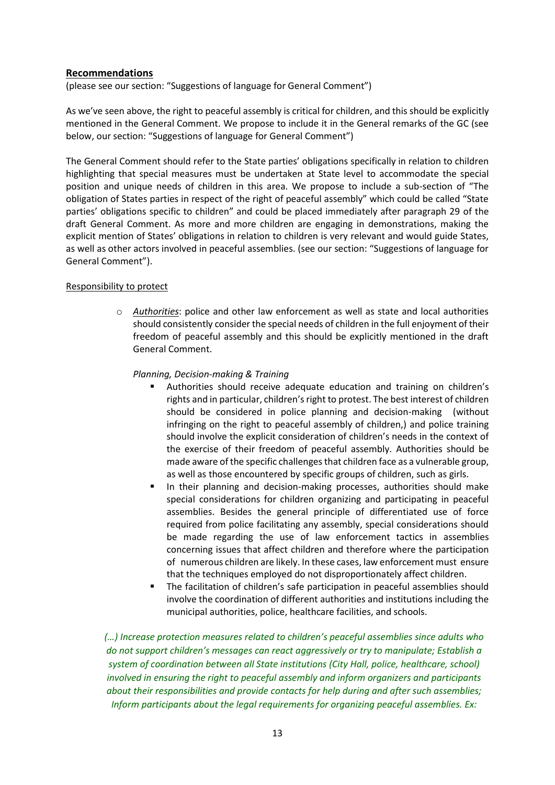### **Recommendations**

(please see our section: "Suggestions of language for General Comment")

As we've seen above, the right to peaceful assembly is critical for children, and this should be explicitly mentioned in the General Comment. We propose to include it in the General remarks of the GC (see below, our section: "Suggestions of language for General Comment")

The General Comment should refer to the State parties' obligations specifically in relation to children highlighting that special measures must be undertaken at State level to accommodate the special position and unique needs of children in this area. We propose to include a sub-section of "The obligation of States parties in respect of the right of peaceful assembly" which could be called "State parties' obligations specific to children" and could be placed immediately after paragraph 29 of the draft General Comment. As more and more children are engaging in demonstrations, making the explicit mention of States' obligations in relation to children is very relevant and would guide States, as well as other actors involved in peaceful assemblies. (see our section: "Suggestions of language for General Comment").

#### Responsibility to protect

o *Authorities*: police and other law enforcement as well as state and local authorities should consistently consider the special needs of children in the full enjoyment of their freedom of peaceful assembly and this should be explicitly mentioned in the draft General Comment.

#### *Planning, Decision-making & Training*

- Authorities should receive adequate education and training on children's rights and in particular, children's right to protest. The best interest of children should be considered in police planning and decision-making (without infringing on the right to peaceful assembly of children,) and police training should involve the explicit consideration of children's needs in the context of the exercise of their freedom of peaceful assembly. Authorities should be made aware of the specific challenges that children face as a vulnerable group, as well as those encountered by specific groups of children, such as girls.
- **■** In their planning and decision-making processes, authorities should make special considerations for children organizing and participating in peaceful assemblies. Besides the general principle of differentiated use of force required from police facilitating any assembly, special considerations should be made regarding the use of law enforcement tactics in assemblies concerning issues that affect children and therefore where the participation of numerous children are likely. In these cases, law enforcement must ensure that the techniques employed do not disproportionately affect children.
- The facilitation of children's safe participation in peaceful assemblies should involve the coordination of different authorities and institutions including the municipal authorities, police, healthcare facilities, and schools.

*(…) Increase protection measures related to children's peaceful assemblies since adults who do not support children's messages can react aggressively or try to manipulate; Establish a system of coordination between all State institutions (City Hall, police, healthcare, school) involved in ensuring the right to peaceful assembly and inform organizers and participants about their responsibilities and provide contacts for help during and after such assemblies; Inform participants about the legal requirements for organizing peaceful assemblies. Ex:*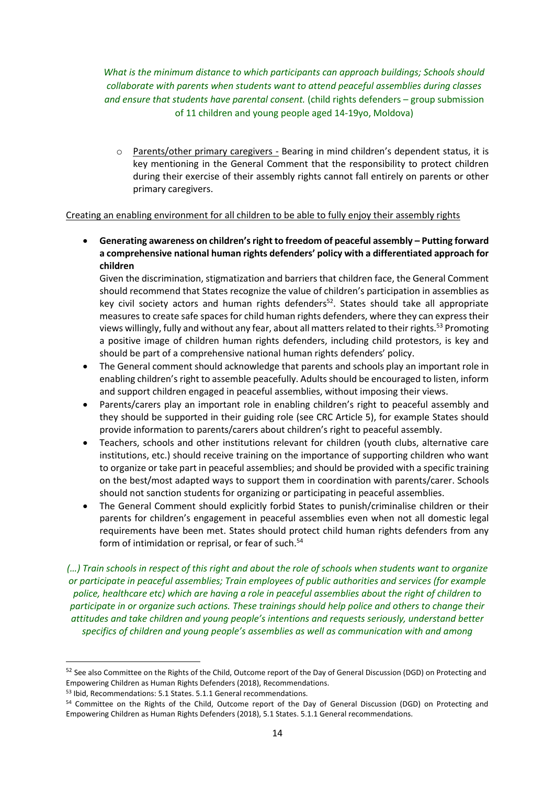*What is the minimum distance to which participants can approach buildings; Schools should collaborate with parents when students want to attend peaceful assemblies during classes and ensure that students have parental consent.* (child rights defenders – group submission of 11 children and young people aged 14-19yo, Moldova)

o Parents/other primary caregivers - Bearing in mind children's dependent status, it is key mentioning in the General Comment that the responsibility to protect children during their exercise of their assembly rights cannot fall entirely on parents or other primary caregivers.

#### Creating an enabling environment for all children to be able to fully enjoy their assembly rights

• **Generating awareness on children's right to freedom of peaceful assembly – Putting forward a comprehensive national human rights defenders' policy with a differentiated approach for children**

Given the discrimination, stigmatization and barriers that children face, the General Comment should recommend that States recognize the value of children's participation in assemblies as key civil society actors and human rights defenders<sup>52</sup>. States should take all appropriate measures to create safe spaces for child human rights defenders, where they can express their views willingly, fully and without any fear, about all matters related to their rights.<sup>53</sup> Promoting a positive image of children human rights defenders, including child protestors, is key and should be part of a comprehensive national human rights defenders' policy.

- The General comment should acknowledge that parents and schools play an important role in enabling children's right to assemble peacefully. Adults should be encouraged to listen, inform and support children engaged in peaceful assemblies, without imposing their views.
- Parents/carers play an important role in enabling children's right to peaceful assembly and they should be supported in their guiding role (see CRC Article 5), for example States should provide information to parents/carers about children's right to peaceful assembly.
- Teachers, schools and other institutions relevant for children (youth clubs, alternative care institutions, etc.) should receive training on the importance of supporting children who want to organize or take part in peaceful assemblies; and should be provided with a specific training on the best/most adapted ways to support them in coordination with parents/carer. Schools should not sanction students for organizing or participating in peaceful assemblies.
- The General Comment should explicitly forbid States to punish/criminalise children or their parents for children's engagement in peaceful assemblies even when not all domestic legal requirements have been met. States should protect child human rights defenders from any form of intimidation or reprisal, or fear of such.<sup>54</sup>

*(…) Train schools in respect of this right and about the role of schools when students want to organize or participate in peaceful assemblies; Train employees of public authorities and services (for example police, healthcare etc) which are having a role in peaceful assemblies about the right of children to participate in or organize such actions. These trainings should help police and others to change their attitudes and take children and young people's intentions and requests seriously, understand better specifics of children and young people's assemblies as well as communication with and among* 

<sup>&</sup>lt;sup>52</sup> See also Committee on the Rights of the Child, Outcome report of the Day of General Discussion (DGD) on Protecting and Empowering Children as Human Rights Defenders (2018), Recommendations.

<sup>53</sup> Ibid, Recommendations: 5.1 States. 5.1.1 General recommendations.

<sup>54</sup> Committee on the Rights of the Child, Outcome report of the Day of General Discussion (DGD) on Protecting and Empowering Children as Human Rights Defenders (2018), 5.1 States. 5.1.1 General recommendations.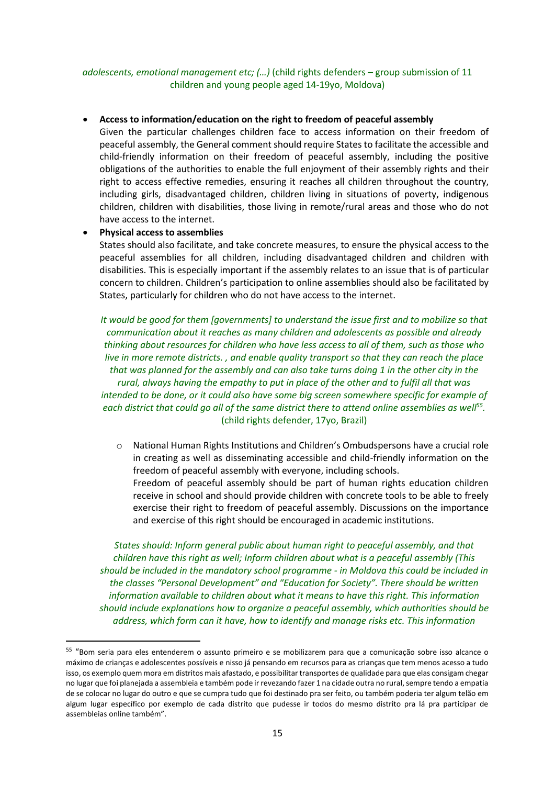#### *adolescents, emotional management etc; (…)* (child rights defenders – group submission of 11 children and young people aged 14-19yo, Moldova)

#### • **Access to information/education on the right to freedom of peaceful assembly**

Given the particular challenges children face to access information on their freedom of peaceful assembly, the General comment should require States to facilitate the accessible and child-friendly information on their freedom of peaceful assembly, including the positive obligations of the authorities to enable the full enjoyment of their assembly rights and their right to access effective remedies, ensuring it reaches all children throughout the country, including girls, disadvantaged children, children living in situations of poverty, indigenous children, children with disabilities, those living in remote/rural areas and those who do not have access to the internet.

#### • **Physical access to assemblies**

States should also facilitate, and take concrete measures, to ensure the physical access to the peaceful assemblies for all children, including disadvantaged children and children with disabilities. This is especially important if the assembly relates to an issue that is of particular concern to children. Children's participation to online assemblies should also be facilitated by States, particularly for children who do not have access to the internet.

*It would be good for them [governments] to understand the issue first and to mobilize so that communication about it reaches as many children and adolescents as possible and already thinking about resources for children who have less access to all of them, such as those who live in more remote districts. , and enable quality transport so that they can reach the place that was planned for the assembly and can also take turns doing 1 in the other city in the rural, always having the empathy to put in place of the other and to fulfil all that was intended to be done, or it could also have some big screen somewhere specific for example of each district that could go all of the same district there to attend online assemblies as well<sup>55</sup> .*  (child rights defender, 17yo, Brazil)

o National Human Rights Institutions and Children's Ombudspersons have a crucial role in creating as well as disseminating accessible and child-friendly information on the freedom of peaceful assembly with everyone, including schools. Freedom of peaceful assembly should be part of human rights education children receive in school and should provide children with concrete tools to be able to freely exercise their right to freedom of peaceful assembly. Discussions on the importance and exercise of this right should be encouraged in academic institutions.

*States should: Inform general public about human right to peaceful assembly, and that children have this right as well; Inform children about what is a peaceful assembly (This should be included in the mandatory school programme - in Moldova this could be included in the classes "Personal Development" and "Education for Society". There should be written information available to children about what it means to have this right. This information should include explanations how to organize a peaceful assembly, which authorities should be address, which form can it have, how to identify and manage risks etc. This information* 

<sup>&</sup>lt;sup>55</sup> "Bom seria para eles entenderem o assunto primeiro e se mobilizarem para que a comunicação sobre isso alcance o máximo de crianças e adolescentes possíveis e nisso já pensando em recursos para as crianças que tem menos acesso a tudo isso, os exemplo quem mora em distritos mais afastado, e possibilitar transportes de qualidade para que elas consigam chegar no lugar que foi planejada a assembleia e também pode ir revezando fazer 1 na cidade outra no rural, sempre tendo a empatia de se colocar no lugar do outro e que se cumpra tudo que foi destinado pra ser feito, ou também poderia ter algum telão em algum lugar específico por exemplo de cada distrito que pudesse ir todos do mesmo distrito pra lá pra participar de assembleias online também".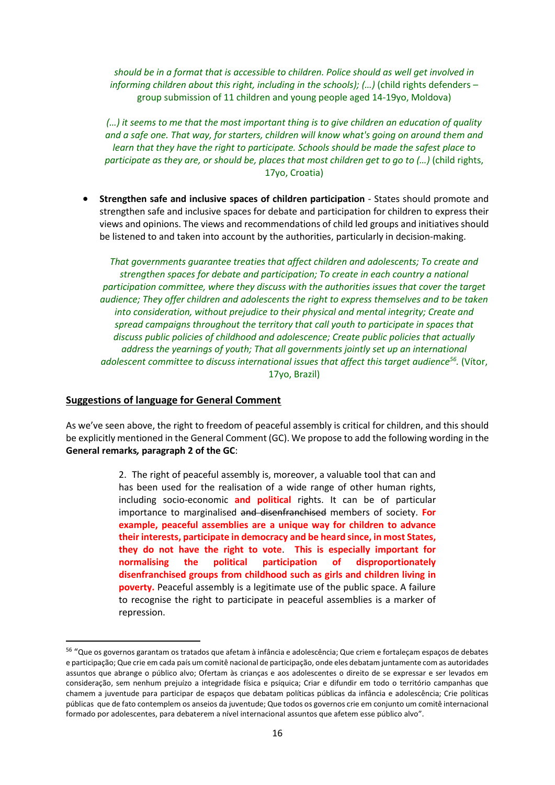*should be in a format that is accessible to children. Police should as well get involved in informing children about this right, including in the schools); (...)* (child rights defenders – group submission of 11 children and young people aged 14-19yo, Moldova)

*(…) it seems to me that the most important thing is to give children an education of quality and a safe one. That way, for starters, children will know what's going on around them and learn that they have the right to participate. Schools should be made the safest place to participate as they are, or should be, places that most children get to go to (...)* (child rights, 17yo, Croatia)

• **Strengthen safe and inclusive spaces of children participation** - States should promote and strengthen safe and inclusive spaces for debate and participation for children to express their views and opinions. The views and recommendations of child led groups and initiatives should be listened to and taken into account by the authorities, particularly in decision-making.

*That governments guarantee treaties that affect children and adolescents; To create and strengthen spaces for debate and participation; To create in each country a national participation committee, where they discuss with the authorities issues that cover the target audience; They offer children and adolescents the right to express themselves and to be taken into consideration, without prejudice to their physical and mental integrity; Create and spread campaigns throughout the territory that call youth to participate in spaces that discuss public policies of childhood and adolescence; Create public policies that actually address the yearnings of youth; That all governments jointly set up an international adolescent committee to discuss international issues that affect this target audience<sup>56</sup> .* (Vítor, 17yo, Brazil)

#### **Suggestions of language for General Comment**

As we've seen above, the right to freedom of peaceful assembly is critical for children, and this should be explicitly mentioned in the General Comment (GC). We propose to add the following wording in the **General remarks***,* **paragraph 2 of the GC**:

> 2. The right of peaceful assembly is, moreover, a valuable tool that can and has been used for the realisation of a wide range of other human rights, including socio-economic **and political** rights. It can be of particular importance to marginalised and disenfranchised members of society. **For example, peaceful assemblies are a unique way for children to advance their interests, participate in democracy and be heard since, in most States, they do not have the right to vote**. **This is especially important for normalising the political participation of disproportionately disenfranchised groups from childhood such as girls and children living in poverty.** Peaceful assembly is a legitimate use of the public space. A failure to recognise the right to participate in peaceful assemblies is a marker of repression.

<sup>&</sup>lt;sup>56</sup> "Que os governos garantam os tratados que afetam à infância e adolescência; Que criem e fortaleçam espaços de debates e participação; Que crie em cada país um comitê nacional de participação, onde eles debatam juntamente com as autoridades assuntos que abrange o público alvo; Ofertam às crianças e aos adolescentes o direito de se expressar e ser levados em consideração, sem nenhum prejuízo a integridade física e psíquica; Criar e difundir em todo o território campanhas que chamem a juventude para participar de espaços que debatam políticas públicas da infância e adolescência; Crie políticas públicas que de fato contemplem os anseios da juventude; Que todos os governos crie em conjunto um comitê internacional formado por adolescentes, para debaterem a nível internacional assuntos que afetem esse público alvo".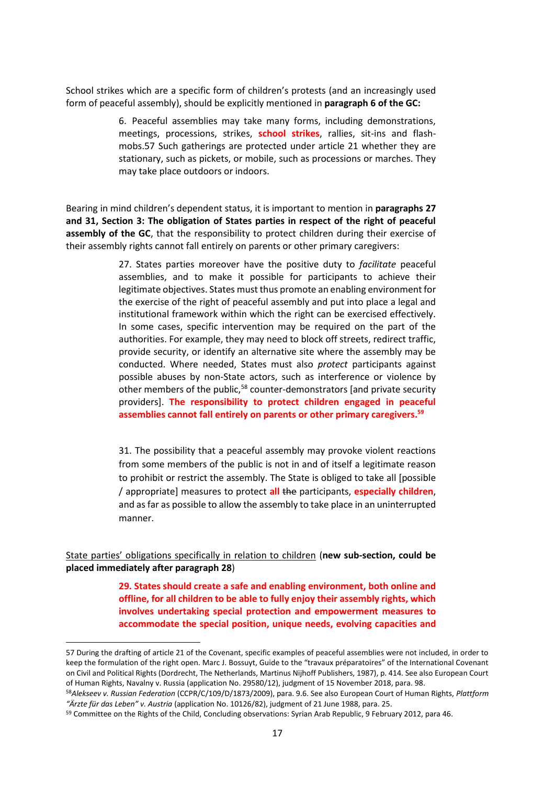School strikes which are a specific form of children's protests (and an increasingly used form of peaceful assembly), should be explicitly mentioned in **paragraph 6 of the GC:**

> 6. Peaceful assemblies may take many forms, including demonstrations, meetings, processions, strikes, **school strikes**, rallies, sit-ins and flashmobs.57 Such gatherings are protected under article 21 whether they are stationary, such as pickets, or mobile, such as processions or marches. They may take place outdoors or indoors.

Bearing in mind children's dependent status, it is important to mention in **paragraphs 27 and 31, Section 3: The obligation of States parties in respect of the right of peaceful assembly of the GC**, that the responsibility to protect children during their exercise of their assembly rights cannot fall entirely on parents or other primary caregivers:

> 27. States parties moreover have the positive duty to *facilitate* peaceful assemblies, and to make it possible for participants to achieve their legitimate objectives. States must thus promote an enabling environment for the exercise of the right of peaceful assembly and put into place a legal and institutional framework within which the right can be exercised effectively. In some cases, specific intervention may be required on the part of the authorities. For example, they may need to block off streets, redirect traffic, provide security, or identify an alternative site where the assembly may be conducted. Where needed, States must also *protect* participants against possible abuses by non-State actors, such as interference or violence by other members of the public,<sup>58</sup> counter-demonstrators [and private security providers]. **The responsibility to protect children engaged in peaceful assemblies cannot fall entirely on parents or other primary caregivers. 59**

> 31. The possibility that a peaceful assembly may provoke violent reactions from some members of the public is not in and of itself a legitimate reason to prohibit or restrict the assembly. The State is obliged to take all [possible / appropriate] measures to protect **all** the participants, **especially children**, and as far as possible to allow the assembly to take place in an uninterrupted manner.

State parties' obligations specifically in relation to children (**new sub-section, could be placed immediately after paragraph 28**)

> **29. States should create a safe and enabling environment, both online and offline, for all children to be able to fully enjoy their assembly rights, which involves undertaking special protection and empowerment measures to accommodate the special position, unique needs, evolving capacities and**

<sup>57</sup> During the drafting of article 21 of the Covenant, specific examples of peaceful assemblies were not included, in order to keep the formulation of the right open. Marc J. Bossuyt, Guide to the "travaux préparatoires" of the International Covenant on Civil and Political Rights (Dordrecht, The Netherlands, Martinus Nijhoff Publishers, 1987), p. 414. See also European Court of Human Rights, Navalny v. Russia (application No. 29580/12), judgment of 15 November 2018, para. 98.

<sup>58</sup>*Alekseev v. Russian Federation* (CCPR/C/109/D/1873/2009), para. 9.6. See also European Court of Human Rights, *Plattform "Ärzte für das Leben" v. Austria* (application No. 10126/82), judgment of 21 June 1988, para. 25.

<sup>&</sup>lt;sup>59</sup> Committee on the Rights of the Child, Concluding observations: Syrian Arab Republic, 9 February 2012, para 46.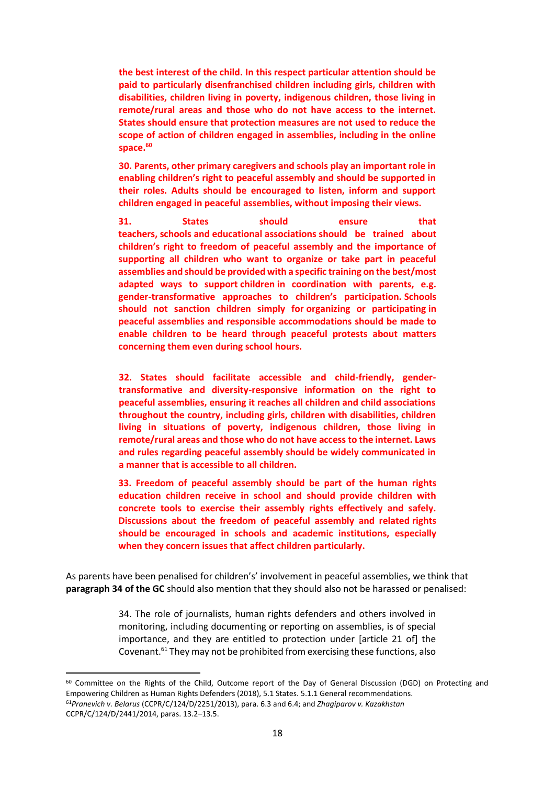**the best interest of the child. In this respect particular attention should be paid to particularly disenfranchised children including girls, children with disabilities, children living in poverty, indigenous children, those living in remote/rural areas and those who do not have access to the internet. States should ensure that protection measures are not used to reduce the scope of action of children engaged in assemblies, including in the online space. 60**

**30. Parents, other primary caregivers and schools play an important role in enabling children's right to peaceful assembly and should be supported in their roles. Adults should be encouraged to listen, inform and support children engaged in peaceful assemblies, without imposing their views.**

**31. States should ensure that teachers, schools and educational associations should be trained about children's right to freedom of peaceful assembly and the importance of supporting all children who want to organize or take part in peaceful assemblies and should be provided with a specific training on the best/most adapted ways to support children in coordination with parents, e.g. gender-transformative approaches to children's participation. Schools should not sanction children simply for organizing or participating in peaceful assemblies and responsible accommodations should be made to enable children to be heard through peaceful protests about matters concerning them even during school hours.** 

**32. States should facilitate accessible and child-friendly, gendertransformative and diversity-responsive information on the right to peaceful assemblies, ensuring it reaches all children and child associations throughout the country, including girls, children with disabilities, children living in situations of poverty, indigenous children, those living in remote/rural areas and those who do not have access to the internet. Laws and rules regarding peaceful assembly should be widely communicated in a manner that is accessible to all children.**

**33. Freedom of peaceful assembly should be part of the human rights education children receive in school and should provide children with concrete tools to exercise their assembly rights effectively and safely. Discussions about the freedom of peaceful assembly and related rights should be encouraged in schools and academic institutions, especially when they concern issues that affect children particularly.**

As parents have been penalised for children's' involvement in peaceful assemblies, we think that **paragraph 34 of the GC** should also mention that they should also not be harassed or penalised:

> 34. The role of journalists, human rights defenders and others involved in monitoring, including documenting or reporting on assemblies, is of special importance, and they are entitled to protection under [article 21 of] the Covenant.<sup>61</sup> They may not be prohibited from exercising these functions, also

<sup>60</sup> Committee on the Rights of the Child, Outcome report of the Day of General Discussion (DGD) on Protecting and Empowering Children as Human Rights Defenders (2018), 5.1 States. 5.1.1 General recommendations.

<sup>61</sup>*Pranevich v. Belarus* (CCPR/C/124/D/2251/2013), para. 6.3 and 6.4; and *Zhagiparov v. Kazakhstan* CCPR/C/124/D/2441/2014, paras. 13.2–13.5.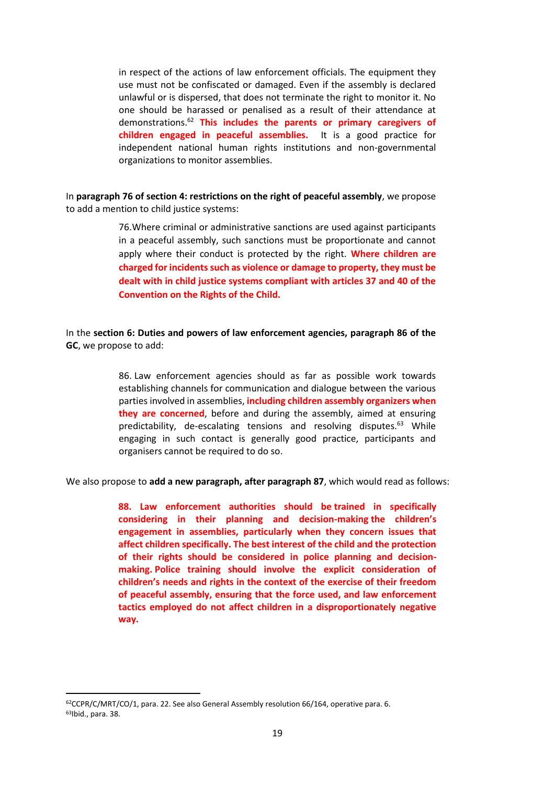in respect of the actions of law enforcement officials. The equipment they use must not be confiscated or damaged. Even if the assembly is declared unlawful or is dispersed, that does not terminate the right to monitor it. No one should be harassed or penalised as a result of their attendance at demonstrations. <sup>62</sup> **This includes the parents or primary caregivers of children engaged in peaceful assemblies.** It is a good practice for independent national human rights institutions and non-governmental organizations to monitor assemblies.

In **paragraph 76 of section 4: restrictions on the right of peaceful assembly**, we propose to add a mention to child justice systems:

> 76.Where criminal or administrative sanctions are used against participants in a peaceful assembly, such sanctions must be proportionate and cannot apply where their conduct is protected by the right. **Where children are charged for incidents such as violence or damage to property, they must be dealt with in child justice systems compliant with articles 37 and 40 of the Convention on the Rights of the Child.**

In the **section 6: Duties and powers of law enforcement agencies, paragraph 86 of the GC**, we propose to add:

> 86. Law enforcement agencies should as far as possible work towards establishing channels for communication and dialogue between the various parties involved in assemblies, **including children assembly organizers when they are concerned**, before and during the assembly, aimed at ensuring predictability, de-escalating tensions and resolving disputes.<sup>63</sup> While engaging in such contact is generally good practice, participants and organisers cannot be required to do so.

We also propose to **add a new paragraph, after paragraph 87**, which would read as follows:

**88. Law enforcement authorities should be trained in specifically considering in their planning and decision-making the children's engagement in assemblies, particularly when they concern issues that affect children specifically. The best interest of the child and the protection of their rights should be considered in police planning and decisionmaking. Police training should involve the explicit consideration of children's needs and rights in the context of the exercise of their freedom of peaceful assembly, ensuring that the force used, and law enforcement tactics employed do not affect children in a disproportionately negative way.**

<sup>&</sup>lt;sup>62</sup>CCPR/C/MRT/CO/1, para. 22. See also General Assembly resolution 66/164, operative para. 6. 63Ibid., para. 38.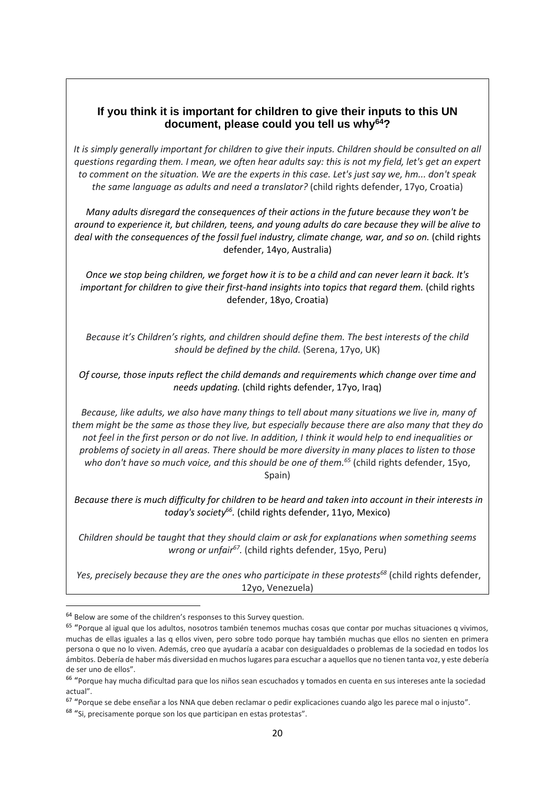# **If you think it is important for children to give their inputs to this UN document, please could you tell us why<sup>64</sup>?**

*It is simply generally important for children to give their inputs. Children should be consulted on all questions regarding them. I mean, we often hear adults say: this is not my field, let's get an expert to comment on the situation. We are the experts in this case. Let's just say we, hm... don't speak the same language as adults and need a translator?* (child rights defender, 17yo, Croatia)

*Many adults disregard the consequences of their actions in the future because they won't be around to experience it, but children, teens, and young adults do care because they will be alive to deal with the consequences of the fossil fuel industry, climate change, war, and so on.* (child rights defender, 14yo, Australia)

*Once we stop being children, we forget how it is to be a child and can never learn it back. It's important for children to give their first-hand insights into topics that regard them.* (child rights defender, 18yo, Croatia)

*Because it's Children's rights, and children should define them. The best interests of the child should be defined by the child.* (Serena, 17yo, UK)

*Of course, those inputs reflect the child demands and requirements which change over time and needs updating.* (child rights defender, 17yo, Iraq)

*Because, like adults, we also have many things to tell about many situations we live in, many of them might be the same as those they live, but especially because there are also many that they do not feel in the first person or do not live. In addition, I think it would help to end inequalities or problems of society in all areas. There should be more diversity in many places to listen to those who don't have so much voice, and this should be one of them.<sup>65</sup>* (child rights defender, 15yo, Spain)

*Because there is much difficulty for children to be heard and taken into account in their interests in today's society<sup>66</sup> .* (child rights defender, 11yo, Mexico)

*Children should be taught that they should claim or ask for explanations when something seems wrong or unfair<sup>67</sup> .* (child rights defender, 15yo, Peru)

*Yes, precisely because they are the ones who participate in these protests<sup>68</sup>* (child rights defender, 12yo, Venezuela)

<sup>&</sup>lt;sup>64</sup> Below are some of the children's responses to this Survey question.

<sup>&</sup>lt;sup>65</sup> "Porque al igual que los adultos, nosotros también tenemos muchas cosas que contar por muchas situaciones q vivimos, muchas de ellas iguales a las q ellos viven, pero sobre todo porque hay también muchas que ellos no sienten en primera persona o que no lo viven. Además, creo que ayudaría a acabar con desigualdades o problemas de la sociedad en todos los ámbitos. Debería de haber más diversidad en muchos lugares para escuchar a aquellos que no tienen tanta voz, y este debería de ser uno de ellos".

<sup>&</sup>lt;sup>66</sup> "Porque hay mucha dificultad para que los niños sean escuchados y tomados en cuenta en sus intereses ante la sociedad actual".

<sup>&</sup>lt;sup>67</sup> "Porque se debe enseñar a los NNA que deben reclamar o pedir explicaciones cuando algo les parece mal o injusto".

<sup>&</sup>lt;sup>68</sup> "Si, precisamente porque son los que participan en estas protestas".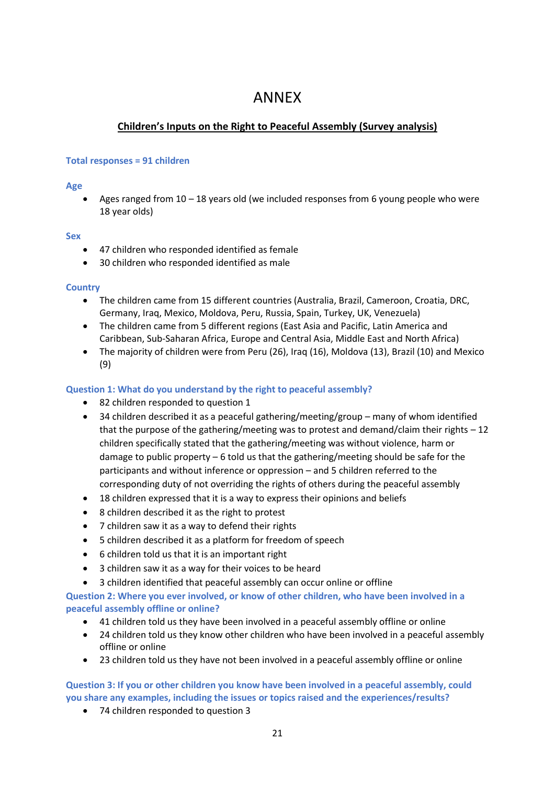# ANNEX

# **Children's Inputs on the Right to Peaceful Assembly (Survey analysis)**

### **Total responses = 91 children**

### **Age**

Ages ranged from  $10 - 18$  years old (we included responses from 6 young people who were 18 year olds)

### **Sex**

- 47 children who responded identified as female
- 30 children who responded identified as male

## **Country**

- The children came from 15 different countries (Australia, Brazil, Cameroon, Croatia, DRC, Germany, Iraq, Mexico, Moldova, Peru, Russia, Spain, Turkey, UK, Venezuela)
- The children came from 5 different regions (East Asia and Pacific, Latin America and Caribbean, Sub-Saharan Africa, Europe and Central Asia, Middle East and North Africa)
- The majority of children were from Peru (26), Iraq (16), Moldova (13), Brazil (10) and Mexico (9)

## **Question 1: What do you understand by the right to peaceful assembly?**

- 82 children responded to question 1
- 34 children described it as a peaceful gathering/meeting/group many of whom identified that the purpose of the gathering/meeting was to protest and demand/claim their rights – 12 children specifically stated that the gathering/meeting was without violence, harm or damage to public property – 6 told us that the gathering/meeting should be safe for the participants and without inference or oppression – and 5 children referred to the corresponding duty of not overriding the rights of others during the peaceful assembly
- 18 children expressed that it is a way to express their opinions and beliefs
- 8 children described it as the right to protest
- 7 children saw it as a way to defend their rights
- 5 children described it as a platform for freedom of speech
- 6 children told us that it is an important right
- 3 children saw it as a way for their voices to be heard
- 3 children identified that peaceful assembly can occur online or offline

**Question 2: Where you ever involved, or know of other children, who have been involved in a peaceful assembly offline or online?**

- 41 children told us they have been involved in a peaceful assembly offline or online
- 24 children told us they know other children who have been involved in a peaceful assembly offline or online
- 23 children told us they have not been involved in a peaceful assembly offline or online

# **Question 3: If you or other children you know have been involved in a peaceful assembly, could you share any examples, including the issues or topics raised and the experiences/results?**

• 74 children responded to question 3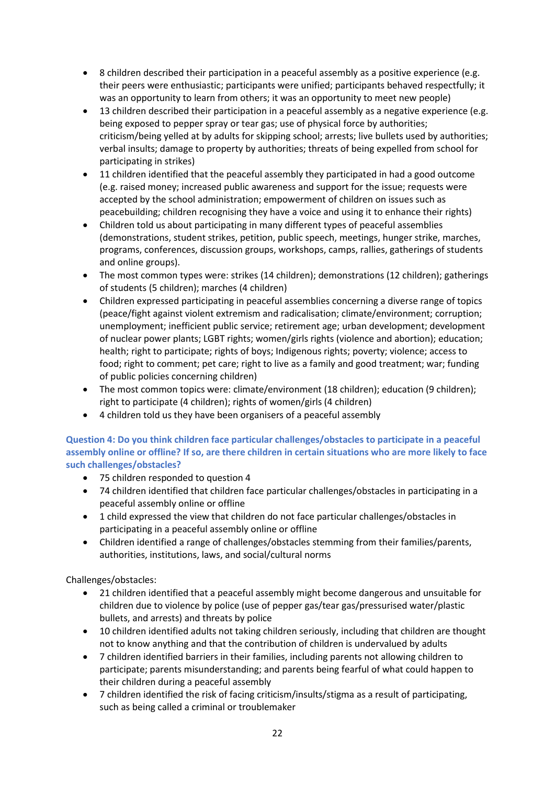- 8 children described their participation in a peaceful assembly as a positive experience (e.g. their peers were enthusiastic; participants were unified; participants behaved respectfully; it was an opportunity to learn from others; it was an opportunity to meet new people)
- 13 children described their participation in a peaceful assembly as a negative experience (e.g. being exposed to pepper spray or tear gas; use of physical force by authorities; criticism/being yelled at by adults for skipping school; arrests; live bullets used by authorities; verbal insults; damage to property by authorities; threats of being expelled from school for participating in strikes)
- 11 children identified that the peaceful assembly they participated in had a good outcome (e.g. raised money; increased public awareness and support for the issue; requests were accepted by the school administration; empowerment of children on issues such as peacebuilding; children recognising they have a voice and using it to enhance their rights)
- Children told us about participating in many different types of peaceful assemblies (demonstrations, student strikes, petition, public speech, meetings, hunger strike, marches, programs, conferences, discussion groups, workshops, camps, rallies, gatherings of students and online groups).
- The most common types were: strikes (14 children); demonstrations (12 children); gatherings of students (5 children); marches (4 children)
- Children expressed participating in peaceful assemblies concerning a diverse range of topics (peace/fight against violent extremism and radicalisation; climate/environment; corruption; unemployment; inefficient public service; retirement age; urban development; development of nuclear power plants; LGBT rights; women/girls rights (violence and abortion); education; health; right to participate; rights of boys; Indigenous rights; poverty; violence; access to food; right to comment; pet care; right to live as a family and good treatment; war; funding of public policies concerning children)
- The most common topics were: climate/environment (18 children); education (9 children); right to participate (4 children); rights of women/girls (4 children)
- 4 children told us they have been organisers of a peaceful assembly

**Question 4: Do you think children face particular challenges/obstacles to participate in a peaceful assembly online or offline? If so, are there children in certain situations who are more likely to face such challenges/obstacles?**

- 75 children responded to question 4
- 74 children identified that children face particular challenges/obstacles in participating in a peaceful assembly online or offline
- 1 child expressed the view that children do not face particular challenges/obstacles in participating in a peaceful assembly online or offline
- Children identified a range of challenges/obstacles stemming from their families/parents, authorities, institutions, laws, and social/cultural norms

Challenges/obstacles:

- 21 children identified that a peaceful assembly might become dangerous and unsuitable for children due to violence by police (use of pepper gas/tear gas/pressurised water/plastic bullets, and arrests) and threats by police
- 10 children identified adults not taking children seriously, including that children are thought not to know anything and that the contribution of children is undervalued by adults
- 7 children identified barriers in their families, including parents not allowing children to participate; parents misunderstanding; and parents being fearful of what could happen to their children during a peaceful assembly
- 7 children identified the risk of facing criticism/insults/stigma as a result of participating, such as being called a criminal or troublemaker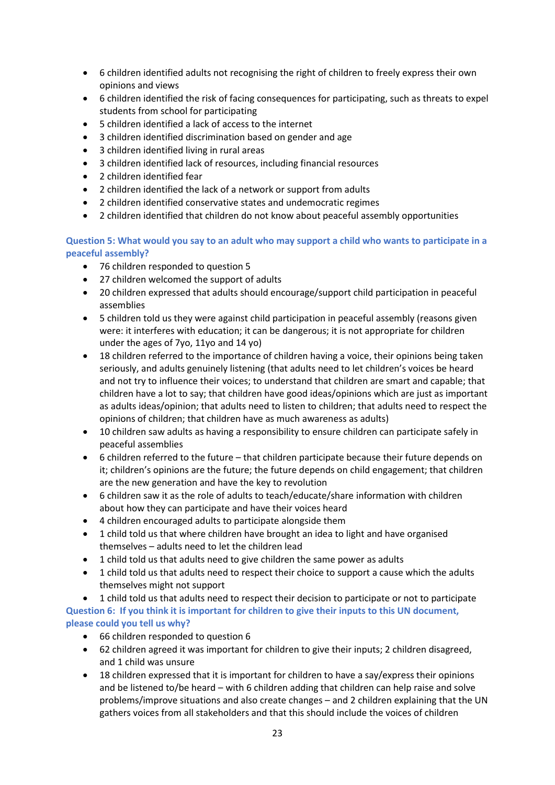- 6 children identified adults not recognising the right of children to freely express their own opinions and views
- 6 children identified the risk of facing consequences for participating, such as threats to expel students from school for participating
- 5 children identified a lack of access to the internet
- 3 children identified discrimination based on gender and age
- 3 children identified living in rural areas
- 3 children identified lack of resources, including financial resources
- 2 children identified fear
- 2 children identified the lack of a network or support from adults
- 2 children identified conservative states and undemocratic regimes
- 2 children identified that children do not know about peaceful assembly opportunities

**Question 5: What would you say to an adult who may support a child who wants to participate in a peaceful assembly?**

- 76 children responded to question 5
- 27 children welcomed the support of adults
- 20 children expressed that adults should encourage/support child participation in peaceful assemblies
- 5 children told us they were against child participation in peaceful assembly (reasons given were: it interferes with education; it can be dangerous; it is not appropriate for children under the ages of 7yo, 11yo and 14 yo)
- 18 children referred to the importance of children having a voice, their opinions being taken seriously, and adults genuinely listening (that adults need to let children's voices be heard and not try to influence their voices; to understand that children are smart and capable; that children have a lot to say; that children have good ideas/opinions which are just as important as adults ideas/opinion; that adults need to listen to children; that adults need to respect the opinions of children; that children have as much awareness as adults)
- 10 children saw adults as having a responsibility to ensure children can participate safely in peaceful assemblies
- 6 children referred to the future that children participate because their future depends on it; children's opinions are the future; the future depends on child engagement; that children are the new generation and have the key to revolution
- 6 children saw it as the role of adults to teach/educate/share information with children about how they can participate and have their voices heard
- 4 children encouraged adults to participate alongside them
- 1 child told us that where children have brought an idea to light and have organised themselves – adults need to let the children lead
- 1 child told us that adults need to give children the same power as adults
- 1 child told us that adults need to respect their choice to support a cause which the adults themselves might not support

• 1 child told us that adults need to respect their decision to participate or not to participate **Question 6: If you think it is important for children to give their inputs to this UN document, please could you tell us why?**

- 66 children responded to question 6
- 62 children agreed it was important for children to give their inputs; 2 children disagreed, and 1 child was unsure
- 18 children expressed that it is important for children to have a say/express their opinions and be listened to/be heard – with 6 children adding that children can help raise and solve problems/improve situations and also create changes – and 2 children explaining that the UN gathers voices from all stakeholders and that this should include the voices of children